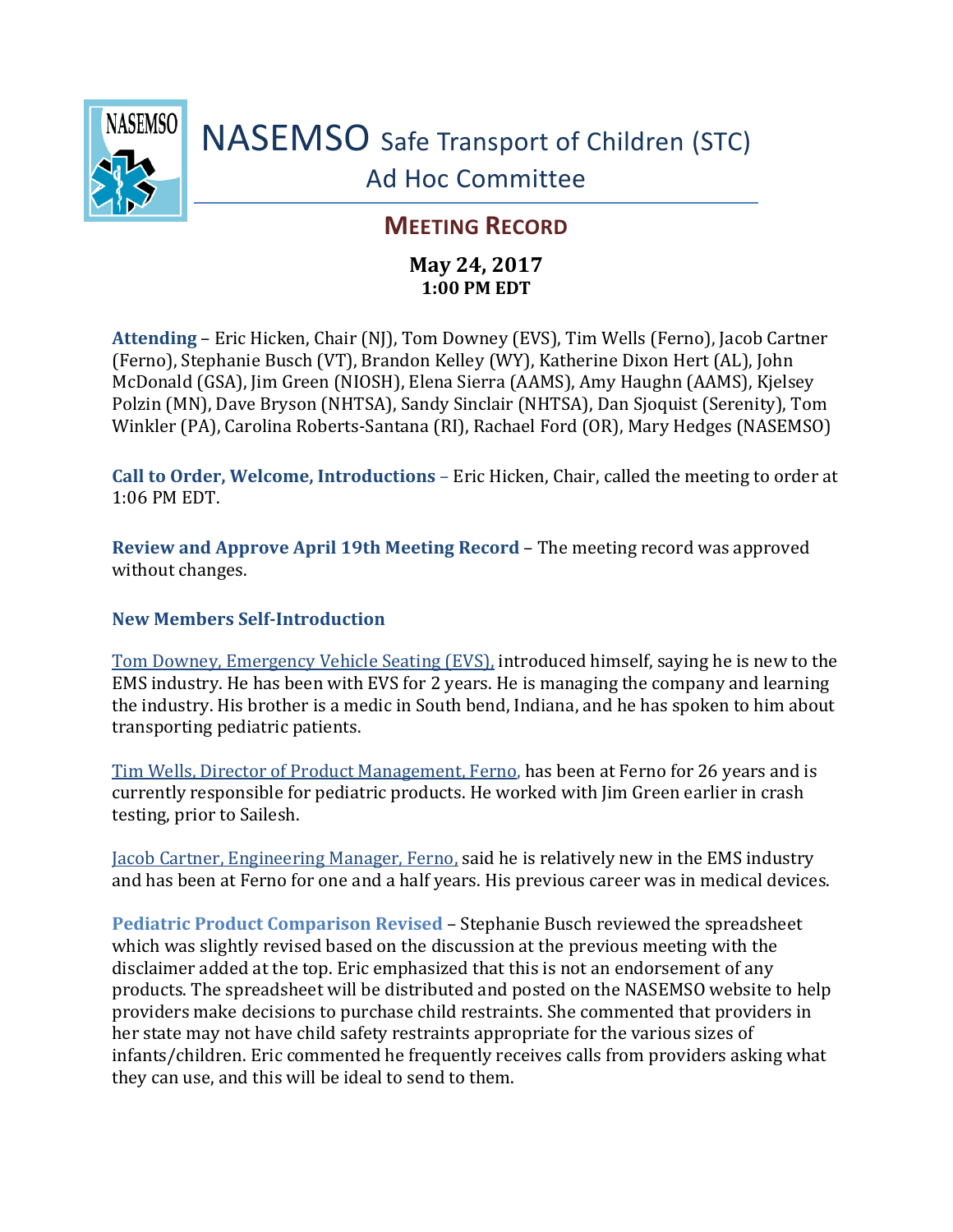

# NASEMSO Safe Transport of Children (STC) Ad Hoc Committee

# **MEETING RECORD**

## **May 24, 2017 1:00 PM EDT**

**Attending** – Eric Hicken, Chair (NJ), Tom Downey (EVS), Tim Wells (Ferno), Jacob Cartner (Ferno), Stephanie Busch (VT), Brandon Kelley (WY), Katherine Dixon Hert (AL), John McDonald (GSA), Jim Green (NIOSH), Elena Sierra (AAMS), Amy Haughn (AAMS), Kjelsey Polzin (MN), Dave Bryson (NHTSA), Sandy Sinclair (NHTSA), Dan Sjoquist (Serenity), Tom Winkler (PA), Carolina Roberts-Santana (RI), Rachael Ford (OR), Mary Hedges (NASEMSO)

**Call to Order, Welcome, Introductions** – Eric Hicken, Chair, called the meeting to order at 1:06 PM EDT.

**Review and Approve April 19th Meeting Record** – The meeting record was approved without changes.

### **New Members Self-Introduction**

Tom Downey, Emergency Vehicle Seating (EVS), introduced himself, saying he is new to the EMS industry. He has been with EVS for 2 years. He is managing the company and learning the industry. His brother is a medic in South bend, Indiana, and he has spoken to him about transporting pediatric patients.

Tim Wells, Director of Product Management, Ferno, has been at Ferno for 26 years and is currently responsible for pediatric products. He worked with Jim Green earlier in crash testing, prior to Sailesh.

Jacob Cartner, Engineering Manager, Ferno, said he is relatively new in the EMS industry and has been at Ferno for one and a half years. His previous career was in medical devices.

**Pediatric Product Comparison Revised** – Stephanie Busch reviewed the spreadsheet which was slightly revised based on the discussion at the previous meeting with the disclaimer added at the top. Eric emphasized that this is not an endorsement of any products. The spreadsheet will be distributed and posted on the NASEMSO website to help providers make decisions to purchase child restraints. She commented that providers in her state may not have child safety restraints appropriate for the various sizes of infants/children. Eric commented he frequently receives calls from providers asking what they can use, and this will be ideal to send to them.